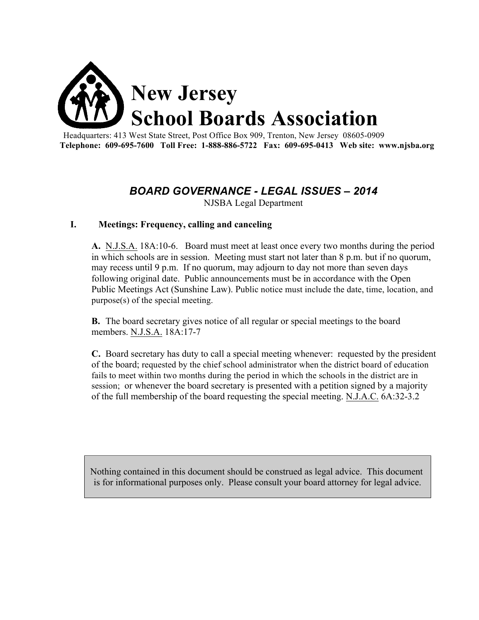

Headquarters: 413 West State Street, Post Office Box 909, Trenton, New Jersey 08605-0909 **Telephone: 609-695-7600 Toll Free: 1-888-886-5722 Fax: 609-695-0413 Web site: www.njsba.org**

# *BOARD GOVERNANCE - LEGAL ISSUES – 2014*

NJSBA Legal Department

## **I. Meetings: Frequency, calling and canceling**

**A.** N.J.S.A. 18A:10-6. Board must meet at least once every two months during the period in which schools are in session. Meeting must start not later than 8 p.m. but if no quorum, may recess until 9 p.m. If no quorum, may adjourn to day not more than seven days following original date. Public announcements must be in accordance with the Open Public Meetings Act (Sunshine Law). Public notice must include the date, time, location, and purpose(s) of the special meeting.

**B.** The board secretary gives notice of all regular or special meetings to the board members. N.J.S.A. 18A:17-7

**C.** Board secretary has duty to call a special meeting whenever: requested by the president of the board; requested by the chief school administrator when the district board of education fails to meet within two months during the period in which the schools in the district are in session; or whenever the board secretary is presented with a petition signed by a majority of the full membership of the board requesting the special meeting. N.J.A.C. 6A:32-3.2

Nothing contained in this document should be construed as legal advice. This document is for informational purposes only. Please consult your board attorney for legal advice.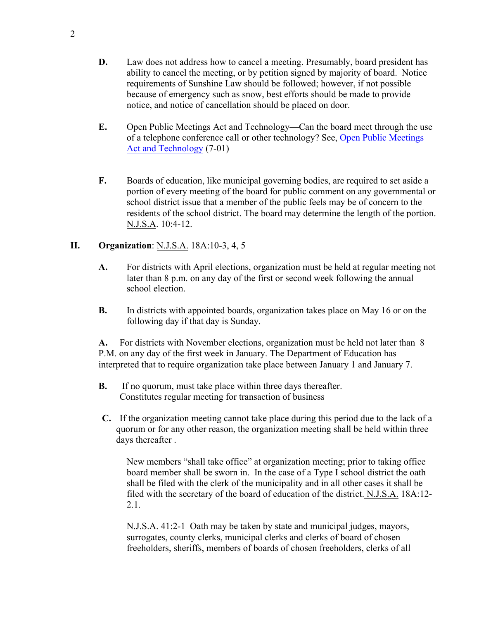- **D.** Law does not address how to cancel a meeting. Presumably, board president has ability to cancel the meeting, or by petition signed by majority of board. Notice requirements of Sunshine Law should be followed; however, if not possible because of emergency such as snow, best efforts should be made to provide notice, and notice of cancellation should be placed on door.
- **E.** Open Public Meetings Act and Technology—Can the board meet through the use of a telephone conference call or other technology? See, Open Public Meetings Act and Technology (7-01)
- **F.** Boards of education, like municipal governing bodies, are required to set aside a portion of every meeting of the board for public comment on any governmental or school district issue that a member of the public feels may be of concern to the residents of the school district. The board may determine the length of the portion. N.J.S.A. 10:4-12.

## **II. Organization**: N.J.S.A. 18A:10-3, 4, 5

- **A.** For districts with April elections, organization must be held at regular meeting not later than 8 p.m. on any day of the first or second week following the annual school election.
- **B.** In districts with appointed boards, organization takes place on May 16 or on the following day if that day is Sunday.

**A.** For districts with November elections, organization must be held not later than 8 P.M. on any day of the first week in January. The Department of Education has interpreted that to require organization take place between January 1 and January 7.

- **B.** If no quorum, must take place within three days thereafter. Constitutes regular meeting for transaction of business
- **C.** If the organization meeting cannot take place during this period due to the lack of a quorum or for any other reason, the organization meeting shall be held within three days thereafter .

New members "shall take office" at organization meeting; prior to taking office board member shall be sworn in. In the case of a Type I school district the oath shall be filed with the clerk of the municipality and in all other cases it shall be filed with the secretary of the board of education of the district. N.J.S.A. 18A:12- 2.1.

N.J.S.A. 41:2-1 Oath may be taken by state and municipal judges, mayors, surrogates, county clerks, municipal clerks and clerks of board of chosen freeholders, sheriffs, members of boards of chosen freeholders, clerks of all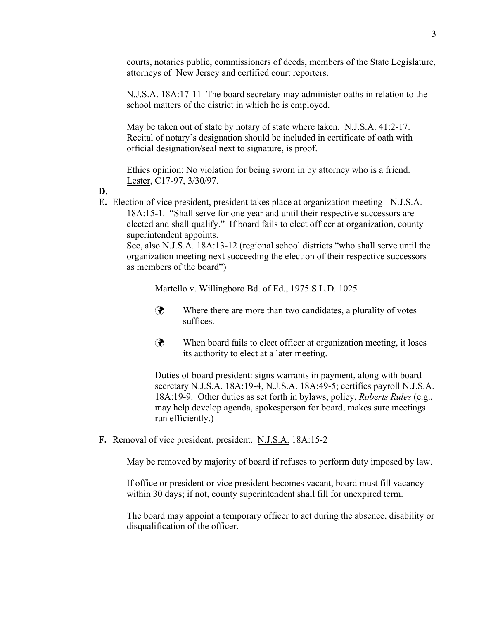courts, notaries public, commissioners of deeds, members of the State Legislature, attorneys of New Jersey and certified court reporters.

N.J.S.A. 18A:17-11 The board secretary may administer oaths in relation to the school matters of the district in which he is employed.

May be taken out of state by notary of state where taken. N.J.S.A. 41:2-17. Recital of notary's designation should be included in certificate of oath with official designation/seal next to signature, is proof.

Ethics opinion: No violation for being sworn in by attorney who is a friend. Lester, C17-97, 3/30/97.

## **D.**

**E.** Election of vice president, president takes place at organization meeting- N.J.S.A.

18A:15-1. "Shall serve for one year and until their respective successors are elected and shall qualify." If board fails to elect officer at organization, county superintendent appoints.

See, also N.J.S.A. 18A:13-12 (regional school districts "who shall serve until the organization meeting next succeeding the election of their respective successors as members of the board")

Martello v. Willingboro Bd. of Ed., 1975 S.L.D. 1025

- $\odot$  Where there are more than two candidates, a plurality of votes suffices.
- ! When board fails to elect officer at organization meeting, it loses its authority to elect at a later meeting.

Duties of board president: signs warrants in payment, along with board secretary N.J.S.A. 18A:19-4, N.J.S.A. 18A:49-5; certifies payroll N.J.S.A. 18A:19-9. Other duties as set forth in bylaws, policy, *Roberts Rules* (e.g., may help develop agenda, spokesperson for board, makes sure meetings run efficiently.)

**F.** Removal of vice president, president. N.J.S.A. 18A:15-2

May be removed by majority of board if refuses to perform duty imposed by law.

If office or president or vice president becomes vacant, board must fill vacancy within 30 days; if not, county superintendent shall fill for unexpired term.

The board may appoint a temporary officer to act during the absence, disability or disqualification of the officer.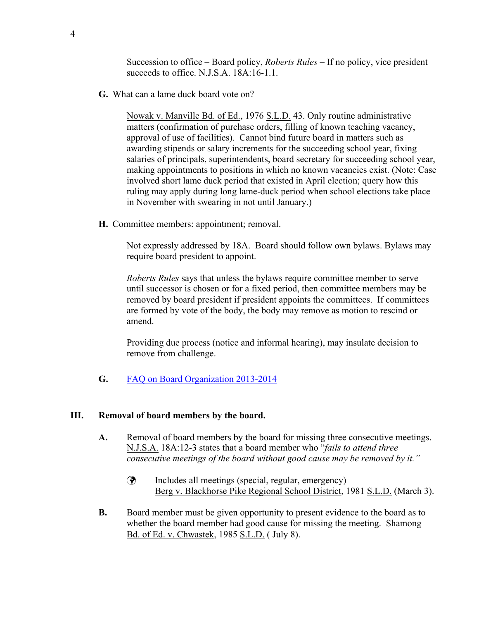Succession to office – Board policy, *Roberts Rules* – If no policy, vice president succeeds to office. N.J.S.A. 18A:16-1.1.

**G.** What can a lame duck board vote on?

Nowak v. Manville Bd. of Ed., 1976 S.L.D. 43. Only routine administrative matters (confirmation of purchase orders, filling of known teaching vacancy, approval of use of facilities). Cannot bind future board in matters such as awarding stipends or salary increments for the succeeding school year, fixing salaries of principals, superintendents, board secretary for succeeding school year, making appointments to positions in which no known vacancies exist. (Note: Case involved short lame duck period that existed in April election; query how this ruling may apply during long lame-duck period when school elections take place in November with swearing in not until January.)

**H.** Committee members: appointment; removal.

Not expressly addressed by 18A. Board should follow own bylaws. Bylaws may require board president to appoint.

*Roberts Rules* says that unless the bylaws require committee member to serve until successor is chosen or for a fixed period, then committee members may be removed by board president if president appoints the committees. If committees are formed by vote of the body, the body may remove as motion to rescind or amend.

Providing due process (notice and informal hearing), may insulate decision to remove from challenge.

**G.** FAQ on Board Organization 2013-2014

#### **III. Removal of board members by the board.**

- **A.** Removal of board members by the board for missing three consecutive meetings. N.J.S.A. 18A:12-3 states that a board member who "*fails to attend three consecutive meetings of the board without good cause may be removed by it."*
	- ! Includes all meetings (special, regular, emergency) Berg v. Blackhorse Pike Regional School District, 1981 S.L.D. (March 3).
- **B.** Board member must be given opportunity to present evidence to the board as to whether the board member had good cause for missing the meeting. Shamong Bd. of Ed. v. Chwastek, 1985 S.L.D. ( July 8).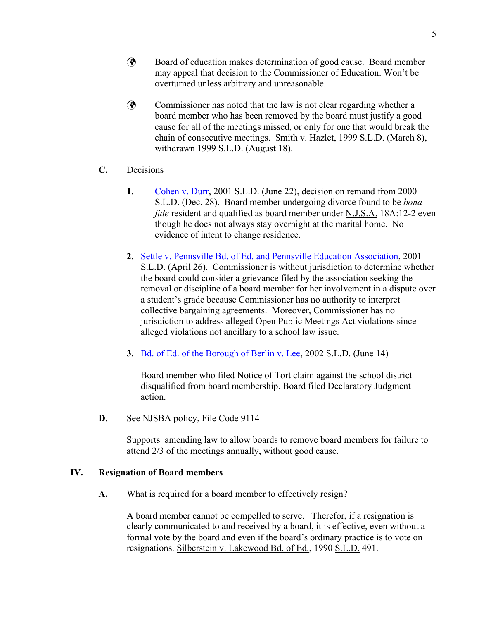- ! Board of education makes determination of good cause. Board member may appeal that decision to the Commissioner of Education. Won't be overturned unless arbitrary and unreasonable.
- ! Commissioner has noted that the law is not clear regarding whether a board member who has been removed by the board must justify a good cause for all of the meetings missed, or only for one that would break the chain of consecutive meetings. Smith v. Hazlet, 1999 S.L.D. (March 8), withdrawn 1999 S.L.D. (August 18).
- **C.** Decisions
	- **1.** Cohen v. Durr, 2001 S.L.D. (June 22), decision on remand from 2000 S.L.D. (Dec. 28). Board member undergoing divorce found to be *bona fide* resident and qualified as board member under N.J.S.A. 18A:12-2 even though he does not always stay overnight at the marital home. No evidence of intent to change residence.
	- **2.** Settle v. Pennsville Bd. of Ed. and Pennsville Education Association, 2001 S.L.D. (April 26). Commissioner is without jurisdiction to determine whether the board could consider a grievance filed by the association seeking the removal or discipline of a board member for her involvement in a dispute over a student's grade because Commissioner has no authority to interpret collective bargaining agreements. Moreover, Commissioner has no jurisdiction to address alleged Open Public Meetings Act violations since alleged violations not ancillary to a school law issue.
	- **3.** Bd. of Ed. of the Borough of Berlin v. Lee, 2002 S.L.D. (June 14)

Board member who filed Notice of Tort claim against the school district disqualified from board membership. Board filed Declaratory Judgment action.

**D.** See NJSBA policy, File Code 9114

Supports amending law to allow boards to remove board members for failure to attend 2/3 of the meetings annually, without good cause.

#### **IV. Resignation of Board members**

**A.** What is required for a board member to effectively resign?

A board member cannot be compelled to serve. Therefor, if a resignation is clearly communicated to and received by a board, it is effective, even without a formal vote by the board and even if the board's ordinary practice is to vote on resignations. Silberstein v. Lakewood Bd. of Ed., 1990 S.L.D. 491.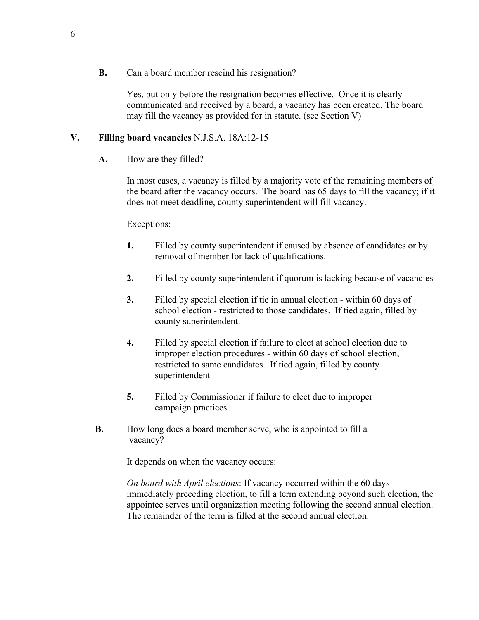**B.** Can a board member rescind his resignation?

Yes, but only before the resignation becomes effective. Once it is clearly communicated and received by a board, a vacancy has been created. The board may fill the vacancy as provided for in statute. (see Section V)

## **V. Filling board vacancies** N.J.S.A. 18A:12-15

**A.** How are they filled?

In most cases, a vacancy is filled by a majority vote of the remaining members of the board after the vacancy occurs. The board has 65 days to fill the vacancy; if it does not meet deadline, county superintendent will fill vacancy.

Exceptions:

- **1.** Filled by county superintendent if caused by absence of candidates or by removal of member for lack of qualifications.
- **2.** Filled by county superintendent if quorum is lacking because of vacancies
- **3.** Filled by special election if tie in annual election within 60 days of school election - restricted to those candidates. If tied again, filled by county superintendent.
- **4.** Filled by special election if failure to elect at school election due to improper election procedures - within 60 days of school election, restricted to same candidates. If tied again, filled by county superintendent
- **5.** Filled by Commissioner if failure to elect due to improper campaign practices.
- **B.** How long does a board member serve, who is appointed to fill a vacancy?

It depends on when the vacancy occurs:

*On board with April elections*: If vacancy occurred within the 60 days immediately preceding election, to fill a term extending beyond such election, the appointee serves until organization meeting following the second annual election. The remainder of the term is filled at the second annual election.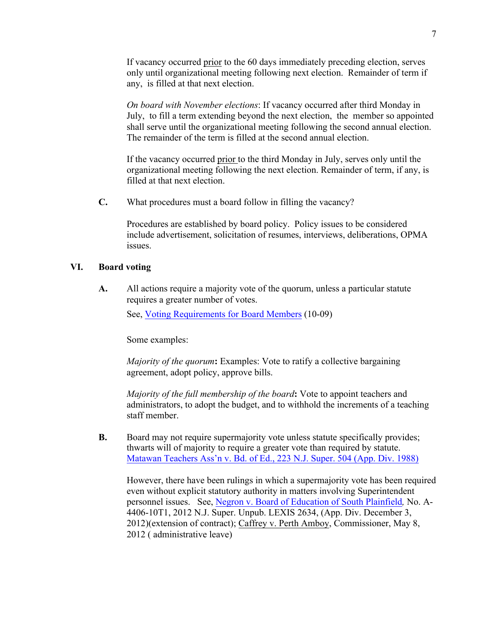If vacancy occurred prior to the 60 days immediately preceding election, serves only until organizational meeting following next election. Remainder of term if any, is filled at that next election.

*On board with November elections*: If vacancy occurred after third Monday in July, to fill a term extending beyond the next election, the member so appointed shall serve until the organizational meeting following the second annual election. The remainder of the term is filled at the second annual election.

If the vacancy occurred prior to the third Monday in July, serves only until the organizational meeting following the next election. Remainder of term, if any, is filled at that next election.

**C.** What procedures must a board follow in filling the vacancy?

Procedures are established by board policy. Policy issues to be considered include advertisement, solicitation of resumes, interviews, deliberations, OPMA issues.

#### **VI. Board voting**

**A.** All actions require a majority vote of the quorum, unless a particular statute requires a greater number of votes.

See, Voting Requirements for Board Members (10-09)

Some examples:

*Majority of the quorum***:** Examples: Vote to ratify a collective bargaining agreement, adopt policy, approve bills.

*Majority of the full membership of the board***:** Vote to appoint teachers and administrators, to adopt the budget, and to withhold the increments of a teaching staff member.

**B.** Board may not require supermajority vote unless statute specifically provides; thwarts will of majority to require a greater vote than required by statute. Matawan Teachers Ass'n v. Bd. of Ed., 223 N.J. Super. 504 (App. Div. 1988)

However, there have been rulings in which a supermajority vote has been required even without explicit statutory authority in matters involving Superintendent personnel issues. See, Negron v. Board of Education of South Plainfield*,* No. A-4406-10T1, 2012 N.J. Super. Unpub. LEXIS 2634, (App. Div. December 3, 2012)(extension of contract); Caffrey v. Perth Amboy, Commissioner, May 8, 2012 ( administrative leave)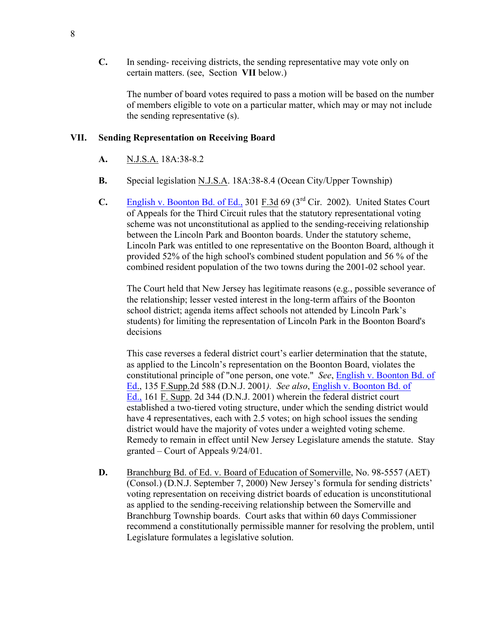**C.** In sending- receiving districts, the sending representative may vote only on certain matters. (see, Section **VII** below.)

The number of board votes required to pass a motion will be based on the number of members eligible to vote on a particular matter, which may or may not include the sending representative (s).

#### **VII. Sending Representation on Receiving Board**

#### **A.** N.J.S.A. 18A:38-8.2

- **B.** Special legislation N.J.S.A. 18A:38-8.4 (Ocean City/Upper Township)
- **C.** English v. Boonton Bd. of Ed., 301 F.3d 69 (3rd Cir. 2002). United States Court of Appeals for the Third Circuit rules that the statutory representational voting scheme was not unconstitutional as applied to the sending-receiving relationship between the Lincoln Park and Boonton boards. Under the statutory scheme, Lincoln Park was entitled to one representative on the Boonton Board, although it provided 52% of the high school's combined student population and 56 % of the combined resident population of the two towns during the 2001-02 school year.

The Court held that New Jersey has legitimate reasons (e.g., possible severance of the relationship; lesser vested interest in the long-term affairs of the Boonton school district; agenda items affect schools not attended by Lincoln Park's students) for limiting the representation of Lincoln Park in the Boonton Board's decisions

This case reverses a federal district court's earlier determination that the statute, as applied to the Lincoln's representation on the Boonton Board, violates the constitutional principle of "one person, one vote." *See*, English v. Boonton Bd. of Ed., 135 F.Supp.2d 588 (D.N.J. 2001*). See also*, English v. Boonton Bd. of Ed., 161 F. Supp. 2d 344 (D.N.J. 2001) wherein the federal district court established a two-tiered voting structure, under which the sending district would have 4 representatives, each with 2.5 votes; on high school issues the sending district would have the majority of votes under a weighted voting scheme. Remedy to remain in effect until New Jersey Legislature amends the statute. Stay granted – Court of Appeals 9/24/01.

**D.** Branchburg Bd. of Ed. v. Board of Education of Somerville, No. 98-5557 (AET) (Consol.) (D.N.J. September 7, 2000) New Jersey's formula for sending districts' voting representation on receiving district boards of education is unconstitutional as applied to the sending-receiving relationship between the Somerville and Branchburg Township boards. Court asks that within 60 days Commissioner recommend a constitutionally permissible manner for resolving the problem, until Legislature formulates a legislative solution.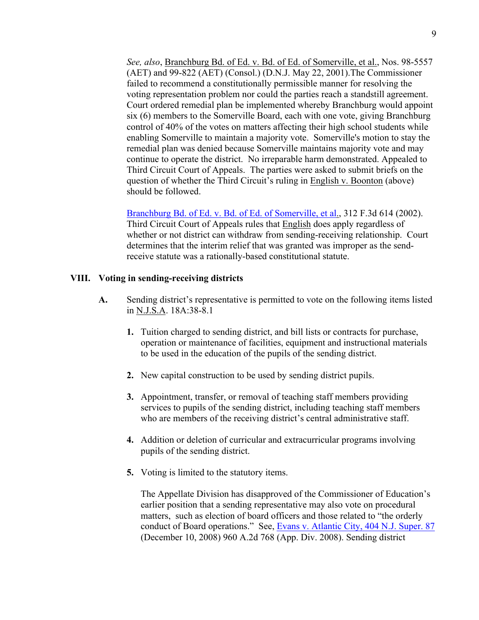*See, also*, Branchburg Bd. of Ed. v. Bd. of Ed. of Somerville, et al., Nos. 98-5557 (AET) and 99-822 (AET) (Consol.) (D.N.J. May 22, 2001).The Commissioner failed to recommend a constitutionally permissible manner for resolving the voting representation problem nor could the parties reach a standstill agreement. Court ordered remedial plan be implemented whereby Branchburg would appoint six (6) members to the Somerville Board, each with one vote, giving Branchburg control of 40% of the votes on matters affecting their high school students while enabling Somerville to maintain a majority vote. Somerville's motion to stay the remedial plan was denied because Somerville maintains majority vote and may continue to operate the district. No irreparable harm demonstrated. Appealed to Third Circuit Court of Appeals. The parties were asked to submit briefs on the question of whether the Third Circuit's ruling in English v. Boonton (above) should be followed.

Branchburg Bd. of Ed. v. Bd. of Ed. of Somerville, et al., 312 F.3d 614 (2002). Third Circuit Court of Appeals rules that English does apply regardless of whether or not district can withdraw from sending-receiving relationship. Court determines that the interim relief that was granted was improper as the sendreceive statute was a rationally-based constitutional statute.

#### **VIII. Voting in sending-receiving districts**

- **A.** Sending district's representative is permitted to vote on the following items listed in N.J.S.A. 18A:38-8.1
	- **1.** Tuition charged to sending district, and bill lists or contracts for purchase, operation or maintenance of facilities, equipment and instructional materials to be used in the education of the pupils of the sending district.
	- **2.** New capital construction to be used by sending district pupils.
	- **3.** Appointment, transfer, or removal of teaching staff members providing services to pupils of the sending district, including teaching staff members who are members of the receiving district's central administrative staff.
	- **4.** Addition or deletion of curricular and extracurricular programs involving pupils of the sending district.
	- **5.** Voting is limited to the statutory items.

The Appellate Division has disapproved of the Commissioner of Education's earlier position that a sending representative may also vote on procedural matters, such as election of board officers and those related to "the orderly conduct of Board operations." See, Evans v. Atlantic City, 404 N.J. Super. 87 (December 10, 2008) 960 A.2d 768 (App. Div. 2008). Sending district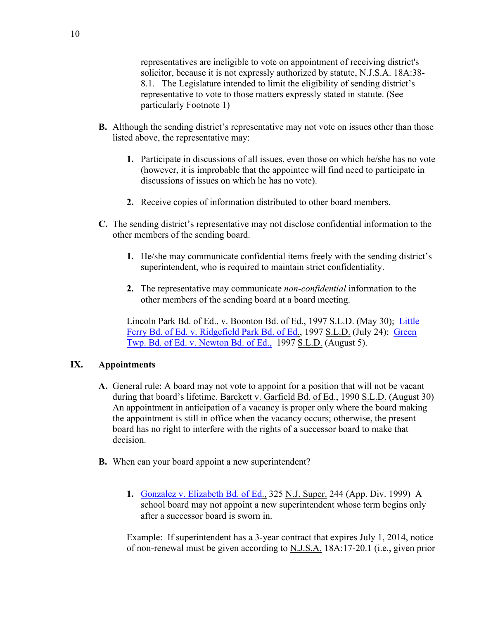representatives are ineligible to vote on appointment of receiving district's solicitor, because it is not expressly authorized by statute, N.J.S.A. 18A:38- 8.1. The Legislature intended to limit the eligibility of sending district's representative to vote to those matters expressly stated in statute. (See particularly Footnote 1)

- **B.** Although the sending district's representative may not vote on issues other than those listed above, the representative may:
	- **1.** Participate in discussions of all issues, even those on which he/she has no vote (however, it is improbable that the appointee will find need to participate in discussions of issues on which he has no vote).
	- **2.** Receive copies of information distributed to other board members.
- **C.** The sending district's representative may not disclose confidential information to the other members of the sending board.
	- **1.** He/she may communicate confidential items freely with the sending district's superintendent, who is required to maintain strict confidentiality.
	- **2.** The representative may communicate *non-confidential* information to the other members of the sending board at a board meeting.

Lincoln Park Bd. of Ed., v. Boonton Bd. of Ed., 1997 S.L.D. (May 30); Little Ferry Bd. of Ed. v. Ridgefield Park Bd. of Ed., 1997 S.L.D. (July 24); Green Twp. Bd. of Ed. v. Newton Bd. of Ed., 1997 S.L.D. (August 5).

#### **IX. Appointments**

- **A.** General rule: A board may not vote to appoint for a position that will not be vacant during that board's lifetime. Barckett v. Garfield Bd. of Ed., 1990 S.L.D. (August 30) An appointment in anticipation of a vacancy is proper only where the board making the appointment is still in office when the vacancy occurs; otherwise, the present board has no right to interfere with the rights of a successor board to make that decision.
- **B.** When can your board appoint a new superintendent?
	- **1.** Gonzalez v. Elizabeth Bd. of Ed., 325 N.J. Super. 244 (App. Div. 1999) A school board may not appoint a new superintendent whose term begins only after a successor board is sworn in.

Example: If superintendent has a 3-year contract that expires July 1, 2014, notice of non-renewal must be given according to N.J.S.A. 18A:17-20.1 (i.e., given prior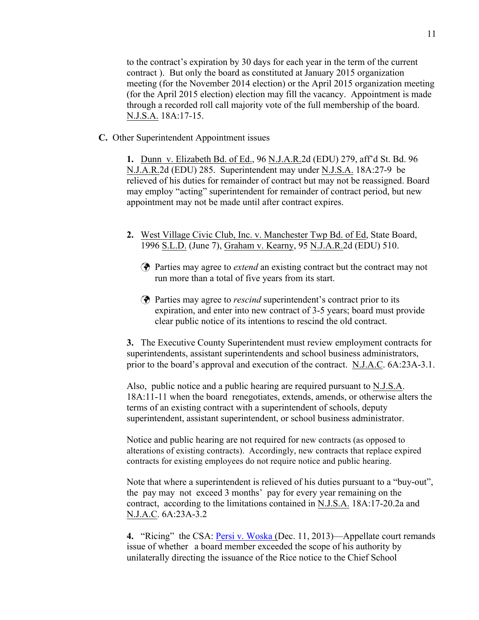to the contract's expiration by 30 days for each year in the term of the current contract ). But only the board as constituted at January 2015 organization meeting (for the November 2014 election) or the April 2015 organization meeting (for the April 2015 election) election may fill the vacancy. Appointment is made through a recorded roll call majority vote of the full membership of the board. N.J.S.A. 18A:17-15.

**C.** Other Superintendent Appointment issues

**1.** Dunn v. Elizabeth Bd. of Ed., 96 N.J.A.R.2d (EDU) 279, aff'd St. Bd. 96 N.J.A.R.2d (EDU) 285. Superintendent may under N.J.S.A. 18A:27-9 be relieved of his duties for remainder of contract but may not be reassigned. Board may employ "acting" superintendent for remainder of contract period, but new appointment may not be made until after contract expires.

- **2.** West Village Civic Club, Inc. v. Manchester Twp Bd. of Ed, State Board, 1996 S.L.D. (June 7), Graham v. Kearny, 95 N.J.A.R.2d (EDU) 510.
	- ! Parties may agree to *extend* an existing contract but the contract may not run more than a total of five years from its start.
	- ! Parties may agree to *rescind* superintendent's contract prior to its expiration, and enter into new contract of 3-5 years; board must provide clear public notice of its intentions to rescind the old contract.

**3.** The Executive County Superintendent must review employment contracts for superintendents, assistant superintendents and school business administrators, prior to the board's approval and execution of the contract. N.J.A.C. 6A:23A-3.1.

Also, public notice and a public hearing are required pursuant to N.J.S.A. 18A:11-11 when the board renegotiates, extends, amends, or otherwise alters the terms of an existing contract with a superintendent of schools, deputy superintendent, assistant superintendent, or school business administrator.

Notice and public hearing are not required for new contracts (as opposed to alterations of existing contracts). Accordingly, new contracts that replace expired contracts for existing employees do not require notice and public hearing.

Note that where a superintendent is relieved of his duties pursuant to a "buy-out", the pay may not exceed 3 months' pay for every year remaining on the contract, according to the limitations contained in N.J.S.A. 18A:17-20.2a and N.J.A.C. 6A:23A-3.2

**4.** "Ricing" the CSA: Persi v. Woska (Dec. 11, 2013)—Appellate court remands issue of whether a board member exceeded the scope of his authority by unilaterally directing the issuance of the Rice notice to the Chief School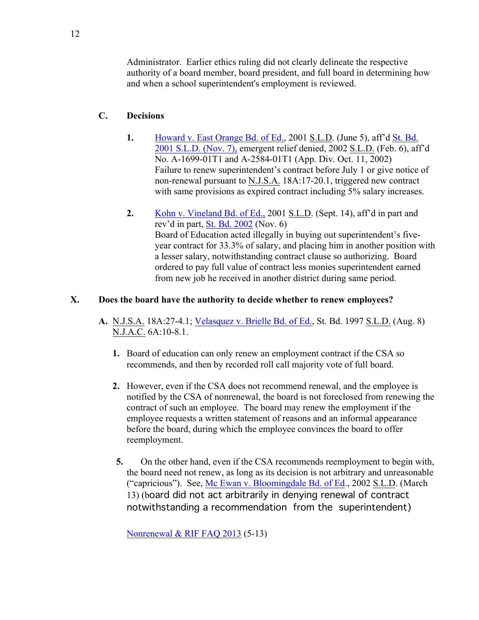Administrator. Earlier ethics ruling did not clearly delineate the respective authority of a board member, board president, and full board in determining how and when a school superintendent's employment is reviewed.

# **C. Decisions**

- **1.** Howard v. East Orange Bd. of Ed., 2001 S.L.D. (June 5), aff'd St. Bd. 2001 S.L.D. (Nov. 7), emergent relief denied, 2002 S.L.D. (Feb. 6), aff'd No. A-1699-01T1 and A-2584-01T1 (App. Div. Oct. 11, 2002) Failure to renew superintendent's contract before July 1 or give notice of non-renewal pursuant to N.J.S.A. 18A:17-20.1, triggered new contract with same provisions as expired contract including 5% salary increases.
- **2.** Kohn v. Vineland Bd. of Ed., 2001 S.L.D. (Sept. 14), aff'd in part and rev'd in part, St. Bd. 2002 (Nov. 6) Board of Education acted illegally in buying out superintendent's fiveyear contract for 33.3% of salary, and placing him in another position with a lesser salary, notwithstanding contract clause so authorizing. Board ordered to pay full value of contract less monies superintendent earned from new job he received in another district during same period.

## **X. Does the board have the authority to decide whether to renew employees?**

- **A.** N.J.S.A. 18A:27-4.1; Velasquez v. Brielle Bd. of Ed., St. Bd. 1997 S.L.D. (Aug. 8) N.J.A.C. 6A:10-8.1.
	- **1.** Board of education can only renew an employment contract if the CSA so recommends, and then by recorded roll call majority vote of full board.
	- **2.** However, even if the CSA does not recommend renewal, and the employee is notified by the CSA of nonrenewal, the board is not foreclosed from renewing the contract of such an employee. The board may renew the employment if the employee requests a written statement of reasons and an informal appearance before the board, during which the employee convinces the board to offer reemployment.
	- **5.** On the other hand, even if the CSA recommends reemployment to begin with, the board need not renew, as long as its decision is not arbitrary and unreasonable ("capricious"). See, Mc Ewan v. Bloomingdale Bd. of Ed., 2002 S.L.D. (March 13) (board did not act arbitrarily in denying renewal of contract notwithstanding a recommendation from the superintendent)

Nonrenewal & RIF FAQ 2013 (5-13)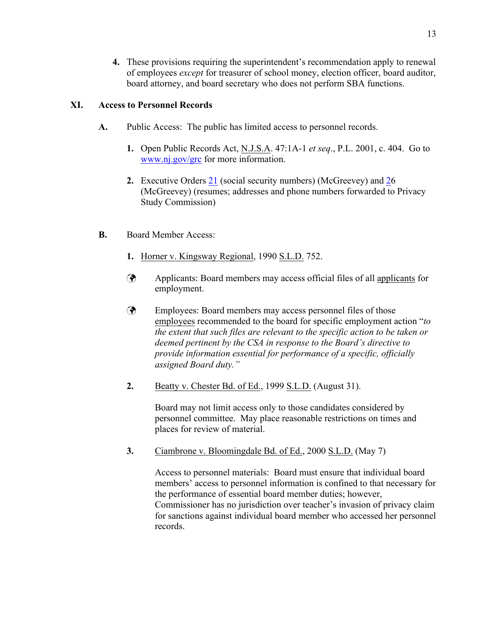**4.** These provisions requiring the superintendent's recommendation apply to renewal of employees *except* for treasurer of school money, election officer, board auditor, board attorney, and board secretary who does not perform SBA functions.

# **XI. Access to Personnel Records**

- **A.** Public Access: The public has limited access to personnel records.
	- **1.** Open Public Records Act, N.J.S.A. 47:1A-1 *et seq*., P.L. 2001, c. 404. Go to www.nj.gov/grc for more information.
	- **2.** Executive Orders 21 (social security numbers) (McGreevey) and 26 (McGreevey) (resumes; addresses and phone numbers forwarded to Privacy Study Commission)
- **B.** Board Member Access:
	- **1.** Horner v. Kingsway Regional, 1990 S.L.D. 752.
	- ! Applicants: Board members may access official files of all applicants for employment.
	- ! Employees: Board members may access personnel files of those employees recommended to the board for specific employment action "*to the extent that such files are relevant to the specific action to be taken or deemed pertinent by the CSA in response to the Board's directive to provide information essential for performance of a specific, officially assigned Board duty."*
	- **2.** Beatty v. Chester Bd. of Ed., 1999 S.L.D. (August 31).

Board may not limit access only to those candidates considered by personnel committee. May place reasonable restrictions on times and places for review of material.

**3.** Ciambrone v. Bloomingdale Bd. of Ed., 2000 S.L.D. (May 7)

Access to personnel materials: Board must ensure that individual board members' access to personnel information is confined to that necessary for the performance of essential board member duties; however, Commissioner has no jurisdiction over teacher's invasion of privacy claim for sanctions against individual board member who accessed her personnel records.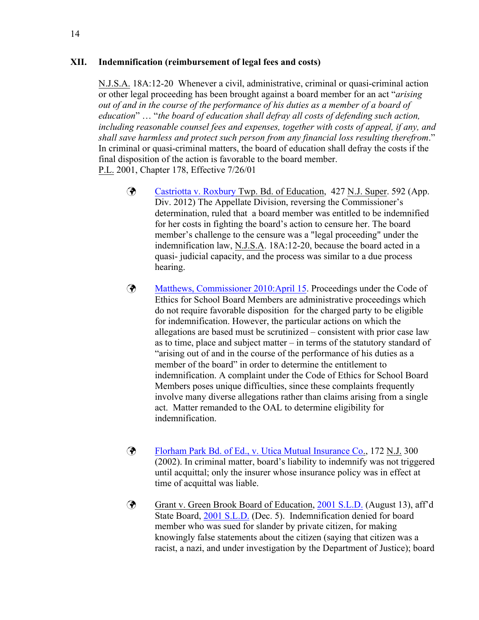## **XII. Indemnification (reimbursement of legal fees and costs)**

N.J.S.A. 18A:12-20 Whenever a civil, administrative, criminal or quasi-criminal action or other legal proceeding has been brought against a board member for an act "*arising out of and in the course of the performance of his duties as a member of a board of education*" … "*the board of education shall defray all costs of defending such action, including reasonable counsel fees and expenses, together with costs of appeal, if any, and shall save harmless and protect such person from any financial loss resulting therefrom*." In criminal or quasi-criminal matters, the board of education shall defray the costs if the final disposition of the action is favorable to the board member. P.L. 2001, Chapter 178, Effective 7/26/01

- ! Castriotta v. Roxbury Twp. Bd. of Education, 427 N.J. Super. 592 (App. Div. 2012) The Appellate Division, reversing the Commissioner's determination, ruled that a board member was entitled to be indemnified for her costs in fighting the board's action to censure her. The board member's challenge to the censure was a "legal proceeding" under the indemnification law, N.J.S.A. 18A:12-20, because the board acted in a quasi- judicial capacity, and the process was similar to a due process hearing.
- ! Matthews, Commissioner 2010:April 15. Proceedings under the Code of Ethics for School Board Members are administrative proceedings which do not require favorable disposition for the charged party to be eligible for indemnification. However, the particular actions on which the allegations are based must be scrutinized – consistent with prior case law as to time, place and subject matter – in terms of the statutory standard of "arising out of and in the course of the performance of his duties as a member of the board" in order to determine the entitlement to indemnification. A complaint under the Code of Ethics for School Board Members poses unique difficulties, since these complaints frequently involve many diverse allegations rather than claims arising from a single act. Matter remanded to the OAL to determine eligibility for indemnification.
- ! Florham Park Bd. of Ed., v. Utica Mutual Insurance Co., 172 N.J. 300 (2002). In criminal matter, board's liability to indemnify was not triggered until acquittal; only the insurer whose insurance policy was in effect at time of acquittal was liable.
- ! Grant v. Green Brook Board of Education, 2001 S.L.D. (August 13), aff'd State Board, 2001 S.L.D. (Dec. 5). Indemnification denied for board member who was sued for slander by private citizen, for making knowingly false statements about the citizen (saying that citizen was a racist, a nazi, and under investigation by the Department of Justice); board